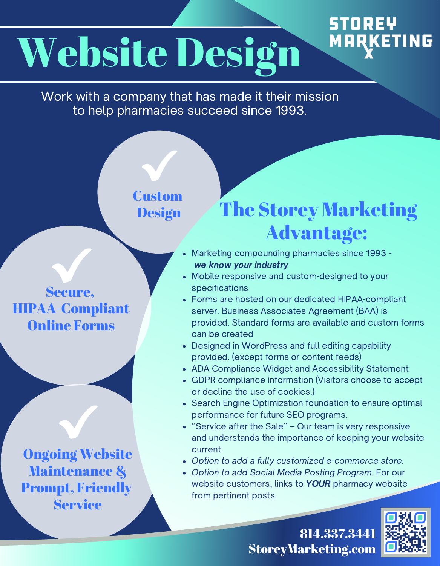# Website Design

Work with a company that has made it their mission to help pharmacies succeed since 1993.

#### **Custom Design**

Secure, HIPAA-Compliant Online Forms

Ongoing Website Maintenance & Prompt, Friendly Service

### The Storey Marketing Advantage:

**STOREY** 

**MARKETING** 

- Marketing compounding pharmacies since 1993 we know your industry
- Mobile responsive and custom-designed to your specifications
- Forms are hosted on our dedicated HIPAA-compliant server. Business Associates Agreement (BAA) is provided. Standard forms are available and custom forms can be created
- Designed in WordPress and full editing capability provided. (except forms or content feeds)
- ADA Compliance Widget and Accessibility Statement
- GDPR compliance information (Visitors choose to accept or decline the use of cookies.)
- Search Engine Optimization foundation to ensure optimal performance for future SEO programs.
- "Service after the Sale" Our team is very responsive and understands the importance of keeping your website current.
- Option to add a fully customized e-commerce store.
- Option to add Social Media Posting Program. For our website customers, links to **YOUR** pharmacy website from pertinent posts.

814.337.3441 StoreyMarketing.com